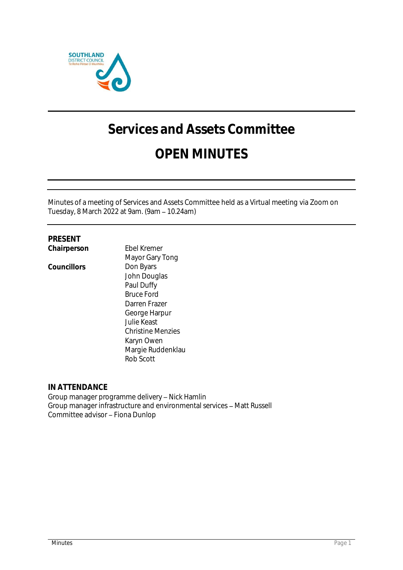

# **Services and Assets Committee**

# **OPEN MINUTES**

Minutes of a meeting of Services and Assets Committee held as a Virtual meeting via Zoom on Tuesday, 8 March 2022 at 9am. (9am 10.24am)

# **PRESENT**

**Chairperson** Ebel Kremer Mayor Gary Tong Councillors **Don Byars** John Douglas Paul Duffy Bruce Ford Darren Frazer George Harpur Julie Keast Christine Menzies Karyn Owen Margie Ruddenklau Rob Scott

# **IN ATTENDANCE**

Group manager programme delivery - Nick Hamlin Group manager infrastructure and environmental services - Matt Russell Committee advisor - Fiona Dunlop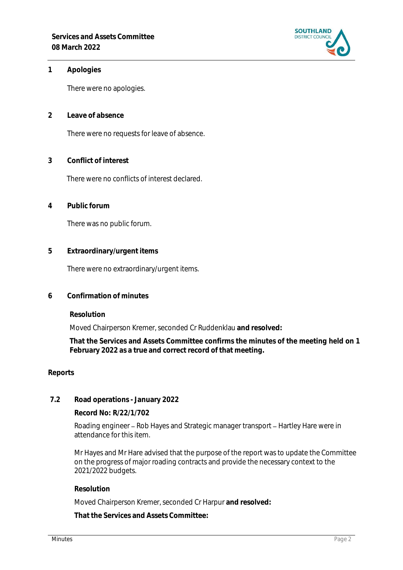

#### **1 Apologies**

There were no apologies.

**2 Leave of absence** 

There were no requests for leave of absence.

**3 Conflict of interest**

There were no conflicts of interest declared.

**4 Public forum**

There was no public forum.

**5 Extraordinary/urgent items**

There were no extraordinary/urgent items.

**6 Confirmation of minutes**

**Resolution**

Moved Chairperson Kremer, seconded Cr Ruddenklau **and resolved:**

**That the Services and Assets Committee confirms the minutes of the meeting held on 1 February 2022 as a true and correct record of that meeting.**

#### **Reports**

**7.2 Road operations - January 2022**

**Record No: R/22/1/702**

Roading engineer – Rob Hayes and Strategic manager transport – Hartley Hare were in attendance for this item.

Mr Hayes and Mr Hare advised that the purpose of the report was to update the Committee on the progress of major roading contracts and provide the necessary context to the 2021/2022 budgets.

**Resolution**

Moved Chairperson Kremer, seconded Cr Harpur **and resolved:**

**That the Services and Assets Committee:**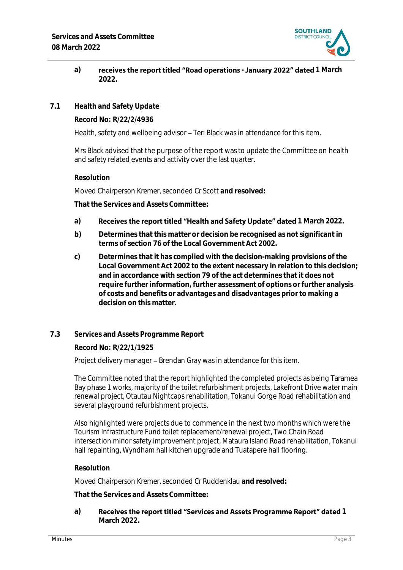

# a) **receives the report titled "Road operations - January 2022" dated 1 March 2022.**

**7.1 Health and Safety Update**

**Record No: R/22/2/4936**

Health, safety and wellbeing advisor – Teri Black was in attendance for this item.

Mrs Black advised that the purpose of the report was to update the Committee on health and safety related events and activity over the last quarter.

#### **Resolution**

Moved Chairperson Kremer, seconded Cr Scott **and resolved:**

**That the Services and Assets Committee:**

# a) Receives the report titled "Health and Safety Update" dated 1 March 2022.

- **b) Determines that this matter or decision be recognised as not significant in terms of section 76 of the Local Government Act 2002.**
- **c) Determines that it has complied with the decision-making provisions of the Local Government Act 2002 to the extent necessary in relation to this decision; and in accordance with section 79 of the act determines that it does not require further information, further assessment of options or further analysis of costs and benefits or advantages and disadvantages prior to making a decision on this matter.**

# **7.3 Services and Assets Programme Report**

**Record No: R/22/1/1925**

Project delivery manager – Brendan Gray was in attendance for this item.

The Committee noted that the report highlighted the completed projects as being Taramea Bay phase 1 works, majority of the toilet refurbishment projects, Lakefront Drive water main renewal project, Otautau Nightcaps rehabilitation, Tokanui Gorge Road rehabilitation and several playground refurbishment projects.

Also highlighted were projects due to commence in the next two months which were the Tourism Infrastructure Fund toilet replacement/renewal project, Two Chain Road intersection minor safety improvement project, Mataura Island Road rehabilitation, Tokanui hall repainting, Wyndham hall kitchen upgrade and Tuatapere hall flooring.

#### **Resolution**

Moved Chairperson Kremer, seconded Cr Ruddenklau **and resolved:**

**That the Services and Assets Committee:**

a) Receives the report titled "Services and Assets Programme Report" dated 1 **March 2022.**